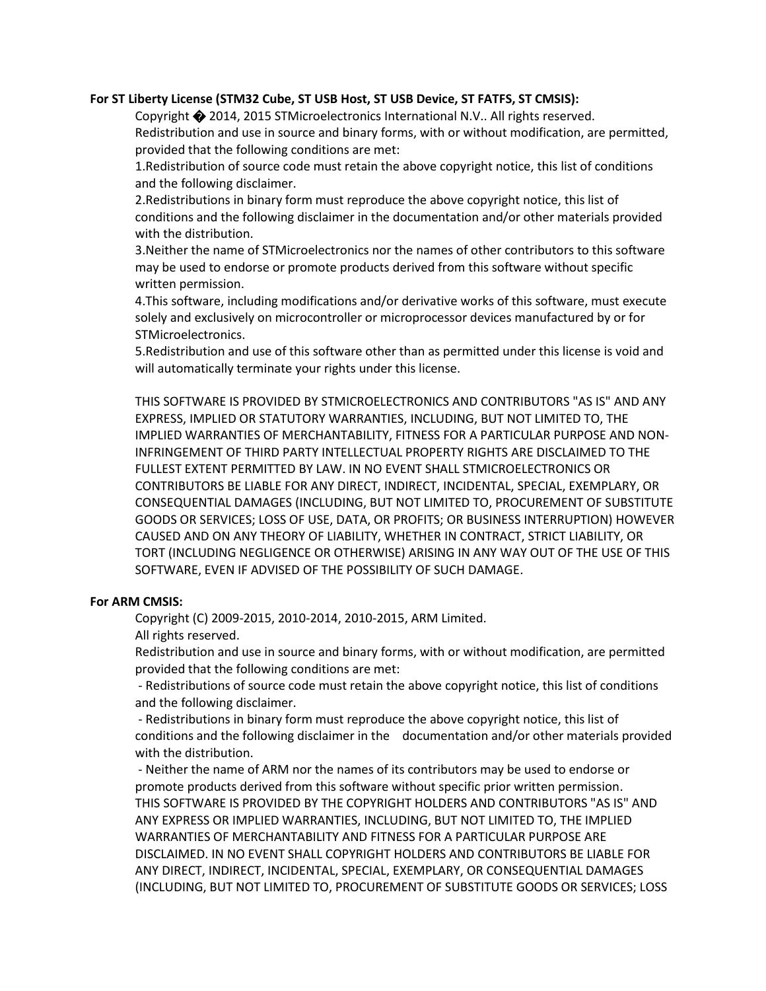### **For ST Liberty License (STM32 Cube, ST USB Host, ST USB Device, ST FATFS, ST CMSIS):**

Copyright � 2014, 2015 STMicroelectronics International N.V.. All rights reserved. Redistribution and use in source and binary forms, with or without modification, are permitted, provided that the following conditions are met:

1.Redistribution of source code must retain the above copyright notice, this list of conditions and the following disclaimer.

2.Redistributions in binary form must reproduce the above copyright notice, this list of conditions and the following disclaimer in the documentation and/or other materials provided with the distribution.

3.Neither the name of STMicroelectronics nor the names of other contributors to this software may be used to endorse or promote products derived from this software without specific written permission.

4.This software, including modifications and/or derivative works of this software, must execute solely and exclusively on microcontroller or microprocessor devices manufactured by or for STMicroelectronics.

5.Redistribution and use of this software other than as permitted under this license is void and will automatically terminate your rights under this license.

THIS SOFTWARE IS PROVIDED BY STMICROELECTRONICS AND CONTRIBUTORS "AS IS" AND ANY EXPRESS, IMPLIED OR STATUTORY WARRANTIES, INCLUDING, BUT NOT LIMITED TO, THE IMPLIED WARRANTIES OF MERCHANTABILITY, FITNESS FOR A PARTICULAR PURPOSE AND NON-INFRINGEMENT OF THIRD PARTY INTELLECTUAL PROPERTY RIGHTS ARE DISCLAIMED TO THE FULLEST EXTENT PERMITTED BY LAW. IN NO EVENT SHALL STMICROELECTRONICS OR CONTRIBUTORS BE LIABLE FOR ANY DIRECT, INDIRECT, INCIDENTAL, SPECIAL, EXEMPLARY, OR CONSEQUENTIAL DAMAGES (INCLUDING, BUT NOT LIMITED TO, PROCUREMENT OF SUBSTITUTE GOODS OR SERVICES; LOSS OF USE, DATA, OR PROFITS; OR BUSINESS INTERRUPTION) HOWEVER CAUSED AND ON ANY THEORY OF LIABILITY, WHETHER IN CONTRACT, STRICT LIABILITY, OR TORT (INCLUDING NEGLIGENCE OR OTHERWISE) ARISING IN ANY WAY OUT OF THE USE OF THIS SOFTWARE, EVEN IF ADVISED OF THE POSSIBILITY OF SUCH DAMAGE.

### **For ARM CMSIS:**

Copyright (C) 2009-2015, 2010-2014, 2010-2015, ARM Limited.

All rights reserved.

Redistribution and use in source and binary forms, with or without modification, are permitted provided that the following conditions are met:

- Redistributions of source code must retain the above copyright notice, this list of conditions and the following disclaimer.

- Redistributions in binary form must reproduce the above copyright notice, this list of conditions and the following disclaimer in the documentation and/or other materials provided with the distribution.

- Neither the name of ARM nor the names of its contributors may be used to endorse or promote products derived from this software without specific prior written permission. THIS SOFTWARE IS PROVIDED BY THE COPYRIGHT HOLDERS AND CONTRIBUTORS "AS IS" AND ANY EXPRESS OR IMPLIED WARRANTIES, INCLUDING, BUT NOT LIMITED TO, THE IMPLIED WARRANTIES OF MERCHANTABILITY AND FITNESS FOR A PARTICULAR PURPOSE ARE DISCLAIMED. IN NO EVENT SHALL COPYRIGHT HOLDERS AND CONTRIBUTORS BE LIABLE FOR ANY DIRECT, INDIRECT, INCIDENTAL, SPECIAL, EXEMPLARY, OR CONSEQUENTIAL DAMAGES (INCLUDING, BUT NOT LIMITED TO, PROCUREMENT OF SUBSTITUTE GOODS OR SERVICES; LOSS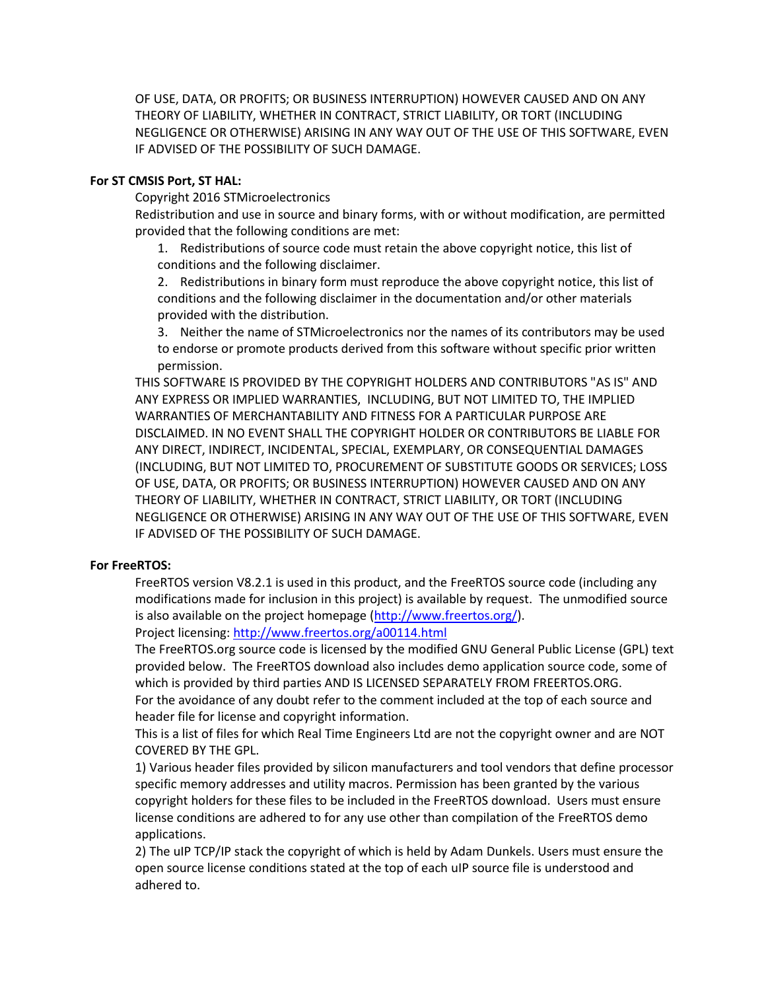OF USE, DATA, OR PROFITS; OR BUSINESS INTERRUPTION) HOWEVER CAUSED AND ON ANY THEORY OF LIABILITY, WHETHER IN CONTRACT, STRICT LIABILITY, OR TORT (INCLUDING NEGLIGENCE OR OTHERWISE) ARISING IN ANY WAY OUT OF THE USE OF THIS SOFTWARE, EVEN IF ADVISED OF THE POSSIBILITY OF SUCH DAMAGE.

### **For ST CMSIS Port, ST HAL:**

Copyright 2016 STMicroelectronics

Redistribution and use in source and binary forms, with or without modification, are permitted provided that the following conditions are met:

1. Redistributions of source code must retain the above copyright notice, this list of conditions and the following disclaimer.

2. Redistributions in binary form must reproduce the above copyright notice, this list of conditions and the following disclaimer in the documentation and/or other materials provided with the distribution.

3. Neither the name of STMicroelectronics nor the names of its contributors may be used to endorse or promote products derived from this software without specific prior written permission.

THIS SOFTWARE IS PROVIDED BY THE COPYRIGHT HOLDERS AND CONTRIBUTORS "AS IS" AND ANY EXPRESS OR IMPLIED WARRANTIES, INCLUDING, BUT NOT LIMITED TO, THE IMPLIED WARRANTIES OF MERCHANTABILITY AND FITNESS FOR A PARTICULAR PURPOSE ARE DISCLAIMED. IN NO EVENT SHALL THE COPYRIGHT HOLDER OR CONTRIBUTORS BE LIABLE FOR ANY DIRECT, INDIRECT, INCIDENTAL, SPECIAL, EXEMPLARY, OR CONSEQUENTIAL DAMAGES (INCLUDING, BUT NOT LIMITED TO, PROCUREMENT OF SUBSTITUTE GOODS OR SERVICES; LOSS OF USE, DATA, OR PROFITS; OR BUSINESS INTERRUPTION) HOWEVER CAUSED AND ON ANY THEORY OF LIABILITY, WHETHER IN CONTRACT, STRICT LIABILITY, OR TORT (INCLUDING NEGLIGENCE OR OTHERWISE) ARISING IN ANY WAY OUT OF THE USE OF THIS SOFTWARE, EVEN IF ADVISED OF THE POSSIBILITY OF SUCH DAMAGE.

### **For FreeRTOS:**

FreeRTOS version V8.2.1 is used in this product, and the FreeRTOS source code (including any modifications made for inclusion in this project) is available by request. The unmodified source is also available on the project homepage [\(http://www.freertos.org/\)](http://www.freertos.org/). Project licensing: <http://www.freertos.org/a00114.html>

The FreeRTOS.org source code is licensed by the modified GNU General Public License (GPL) text provided below.  The FreeRTOS download also includes demo application source code, some of which is provided by third parties AND IS LICENSED SEPARATELY FROM FREERTOS.ORG. For the avoidance of any doubt refer to the comment included at the top of each source and header file for license and copyright information.

This is a list of files for which Real Time Engineers Ltd are not the copyright owner and are NOT COVERED BY THE GPL.

1) Various header files provided by silicon manufacturers and tool vendors that define processor specific memory addresses and utility macros. Permission has been granted by the various copyright holders for these files to be included in the FreeRTOS download.  Users must ensure license conditions are adhered to for any use other than compilation of the FreeRTOS demo applications.

2) The uIP TCP/IP stack the copyright of which is held by Adam Dunkels. Users must ensure the open source license conditions stated at the top of each uIP source file is understood and adhered to.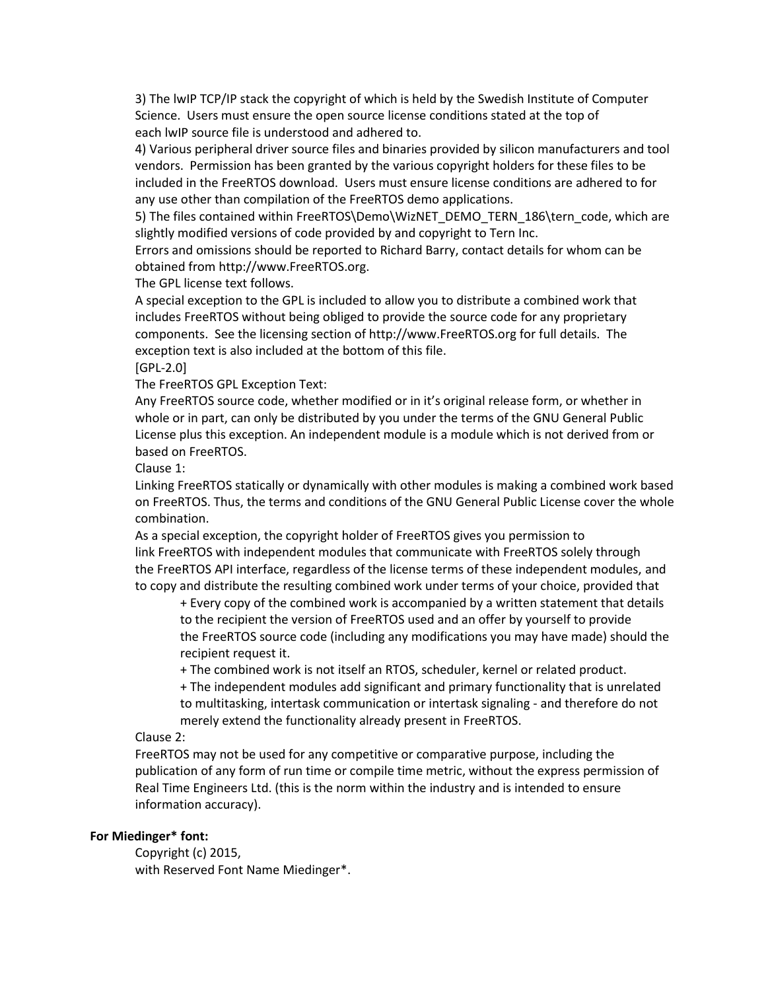3) The lwIP TCP/IP stack the copyright of which is held by the Swedish Institute of Computer Science.  Users must ensure the open source license conditions stated at the top of each lwIP source file is understood and adhered to.

4) Various peripheral driver source files and binaries provided by silicon manufacturers and tool vendors.  Permission has been granted by the various copyright holders for these files to be included in the FreeRTOS download.  Users must ensure license conditions are adhered to for any use other than compilation of the FreeRTOS demo applications.

5) The files contained within FreeRTOS\Demo\WizNET\_DEMO\_TERN\_186\tern\_code, which are slightly modified versions of code provided by and copyright to Tern Inc.

Errors and omissions should be reported to Richard Barry, contact details for whom can be obtained from http://www.FreeRTOS.org.

The GPL license text follows.

A special exception to the GPL is included to allow you to distribute a combined work that includes FreeRTOS without being obliged to provide the source code for any proprietary components.  See the licensing section of http://www.FreeRTOS.org for full details.  The exception text is also included at the bottom of this file.

[GPL-2.0]

The FreeRTOS GPL Exception Text:

Any FreeRTOS source code, whether modified or in it's original release form, or whether in whole or in part, can only be distributed by you under the terms of the GNU General Public License plus this exception. An independent module is a module which is not derived from or based on FreeRTOS.

Clause 1:

Linking FreeRTOS statically or dynamically with other modules is making a combined work based on FreeRTOS. Thus, the terms and conditions of the GNU General Public License cover the whole combination.

As a special exception, the copyright holder of FreeRTOS gives you permission to link FreeRTOS with independent modules that communicate with FreeRTOS solely through the FreeRTOS API interface, regardless of the license terms of these independent modules, and to copy and distribute the resulting combined work under terms of your choice, provided that

+ Every copy of the combined work is accompanied by a written statement that details to the recipient the version of FreeRTOS used and an offer by yourself to provide the FreeRTOS source code (including any modifications you may have made) should the recipient request it.

+ The combined work is not itself an RTOS, scheduler, kernel or related product.

+ The independent modules add significant and primary functionality that is unrelated to multitasking, intertask communication or intertask signaling - and therefore do not merely extend the functionality already present in FreeRTOS.

# Clause 2:

FreeRTOS may not be used for any competitive or comparative purpose, including the publication of any form of run time or compile time metric, without the express permission of Real Time Engineers Ltd. (this is the norm within the industry and is intended to ensure information accuracy).

# **For Miedinger\* font:**

Copyright (c) 2015, with Reserved Font Name Miedinger\*.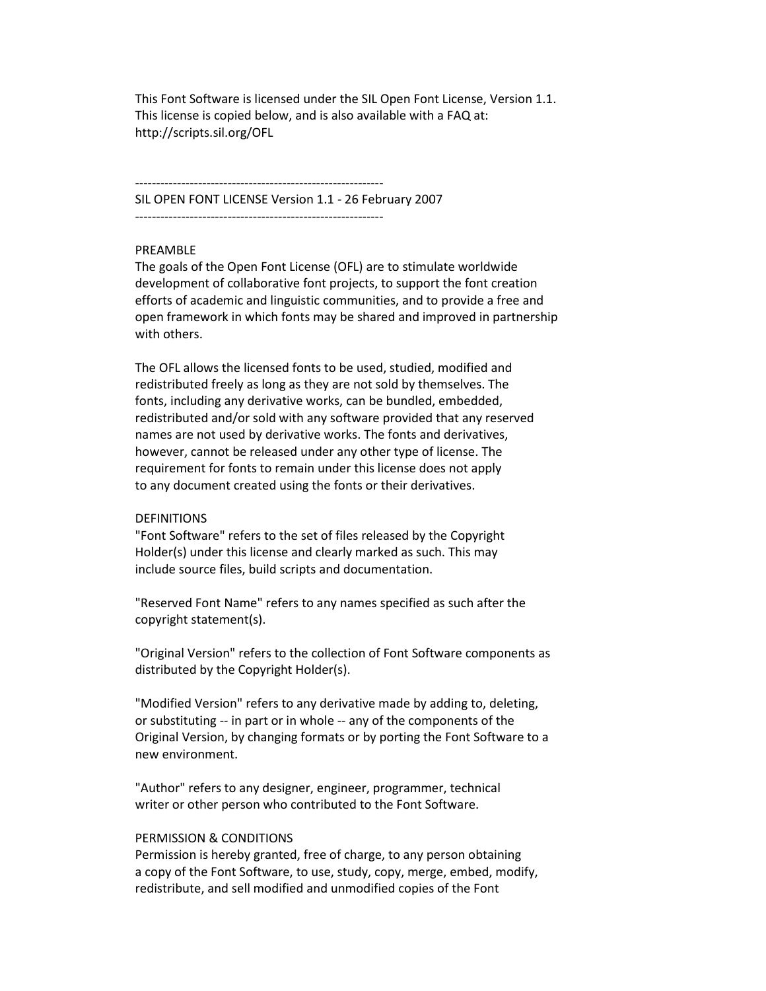This Font Software is licensed under the SIL Open Font License, Version 1.1. This license is copied below, and is also available with a FAQ at: http://scripts.sil.org/OFL

----------------------------------------------------------- SIL OPEN FONT LICENSE Version 1.1 - 26 February 2007 -----------------------------------------------------------

### PREAMBLE

The goals of the Open Font License (OFL) are to stimulate worldwide development of collaborative font projects, to support the font creation efforts of academic and linguistic communities, and to provide a free and open framework in which fonts may be shared and improved in partnership with others.

The OFL allows the licensed fonts to be used, studied, modified and redistributed freely as long as they are not sold by themselves. The fonts, including any derivative works, can be bundled, embedded, redistributed and/or sold with any software provided that any reserved names are not used by derivative works. The fonts and derivatives, however, cannot be released under any other type of license. The requirement for fonts to remain under this license does not apply to any document created using the fonts or their derivatives.

#### **DEFINITIONS**

"Font Software" refers to the set of files released by the Copyright Holder(s) under this license and clearly marked as such. This may include source files, build scripts and documentation.

"Reserved Font Name" refers to any names specified as such after the copyright statement(s).

"Original Version" refers to the collection of Font Software components as distributed by the Copyright Holder(s).

"Modified Version" refers to any derivative made by adding to, deleting, or substituting -- in part or in whole -- any of the components of the Original Version, by changing formats or by porting the Font Software to a new environment.

"Author" refers to any designer, engineer, programmer, technical writer or other person who contributed to the Font Software.

#### PERMISSION & CONDITIONS

Permission is hereby granted, free of charge, to any person obtaining a copy of the Font Software, to use, study, copy, merge, embed, modify, redistribute, and sell modified and unmodified copies of the Font